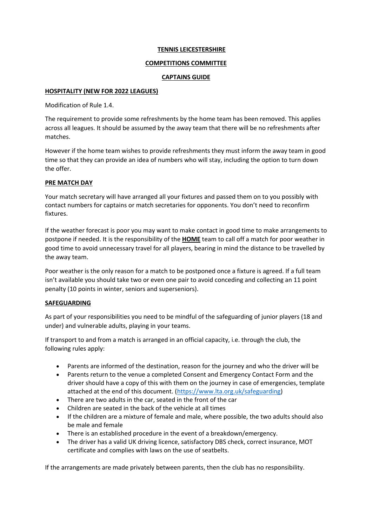#### **TENNIS LEICESTERSHIRE**

#### **COMPETITIONS COMMITTEE**

#### **CAPTAINS GUIDE**

#### **HOSPITALITY (NEW FOR 2022 LEAGUES)**

Modification of Rule 1.4.

The requirement to provide some refreshments by the home team has been removed. This applies across all leagues. It should be assumed by the away team that there will be no refreshments after matches.

However if the home team wishes to provide refreshments they must inform the away team in good time so that they can provide an idea of numbers who will stay, including the option to turn down the offer.

### **PRE MATCH DAY**

Your match secretary will have arranged all your fixtures and passed them on to you possibly with contact numbers for captains or match secretaries for opponents. You don't need to reconfirm fixtures.

If the weather forecast is poor you may want to make contact in good time to make arrangements to postpone if needed. It is the responsibility of the **HOME** team to call off a match for poor weather in good time to avoid unnecessary travel for all players, bearing in mind the distance to be travelled by the away team.

Poor weather is the only reason for a match to be postponed once a fixture is agreed. If a full team isn't available you should take two or even one pair to avoid conceding and collecting an 11 point penalty (10 points in winter, seniors and superseniors).

# **SAFEGUARDING**

As part of your responsibilities you need to be mindful of the safeguarding of junior players (18 and under) and vulnerable adults, playing in your teams.

If transport to and from a match is arranged in an official capacity, i.e. through the club, the following rules apply:

- Parents are informed of the destination, reason for the journey and who the driver will be
- Parents return to the venue a completed Consent and Emergency Contact Form and the driver should have a copy of this with them on the journey in case of emergencies, template attached at the end of this document. (https://www.lta.org.uk/safeguarding)
- There are two adults in the car, seated in the front of the car
- Children are seated in the back of the vehicle at all times
- If the children are a mixture of female and male, where possible, the two adults should also be male and female
- There is an established procedure in the event of a breakdown/emergency.
- The driver has a valid UK driving licence, satisfactory DBS check, correct insurance, MOT certificate and complies with laws on the use of seatbelts.

If the arrangements are made privately between parents, then the club has no responsibility.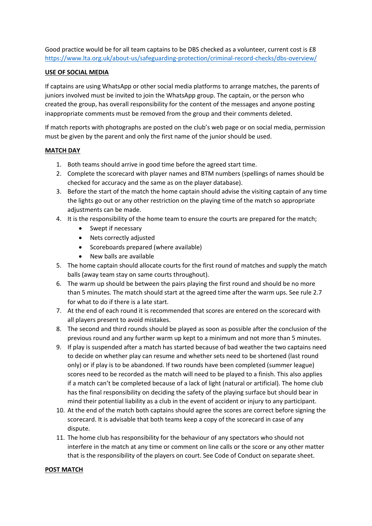Good practice would be for all team captains to be DBS checked as a volunteer, current cost is £8 https://www.lta.org.uk/about-us/safeguarding-protection/criminal-record-checks/dbs-overview/

### **USE OF SOCIAL MEDIA**

If captains are using WhatsApp or other social media platforms to arrange matches, the parents of juniors involved must be invited to join the WhatsApp group. The captain, or the person who created the group, has overall responsibility for the content of the messages and anyone posting inappropriate comments must be removed from the group and their comments deleted.

If match reports with photographs are posted on the club's web page or on social media, permission must be given by the parent and only the first name of the junior should be used.

### **MATCH DAY**

- 1. Both teams should arrive in good time before the agreed start time.
- 2. Complete the scorecard with player names and BTM numbers (spellings of names should be checked for accuracy and the same as on the player database).
- 3. Before the start of the match the home captain should advise the visiting captain of any time the lights go out or any other restriction on the playing time of the match so appropriate adjustments can be made.
- 4. It is the responsibility of the home team to ensure the courts are prepared for the match;
	- Swept if necessary
	- Nets correctly adjusted
	- Scoreboards prepared (where available)
	- New balls are available
- 5. The home captain should allocate courts for the first round of matches and supply the match balls (away team stay on same courts throughout).
- 6. The warm up should be between the pairs playing the first round and should be no more than 5 minutes. The match should start at the agreed time after the warm ups. See rule 2.7 for what to do if there is a late start.
- 7. At the end of each round it is recommended that scores are entered on the scorecard with all players present to avoid mistakes.
- 8. The second and third rounds should be played as soon as possible after the conclusion of the previous round and any further warm up kept to a minimum and not more than 5 minutes.
- 9. If play is suspended after a match has started because of bad weather the two captains need to decide on whether play can resume and whether sets need to be shortened (last round only) or if play is to be abandoned. If two rounds have been completed (summer league) scores need to be recorded as the match will need to be played to a finish. This also applies if a match can't be completed because of a lack of light (natural or artificial). The home club has the final responsibility on deciding the safety of the playing surface but should bear in mind their potential liability as a club in the event of accident or injury to any participant.
- 10. At the end of the match both captains should agree the scores are correct before signing the scorecard. It is advisable that both teams keep a copy of the scorecard in case of any dispute.
- 11. The home club has responsibility for the behaviour of any spectators who should not interfere in the match at any time or comment on line calls or the score or any other matter that is the responsibility of the players on court. See Code of Conduct on separate sheet.

#### **POST MATCH**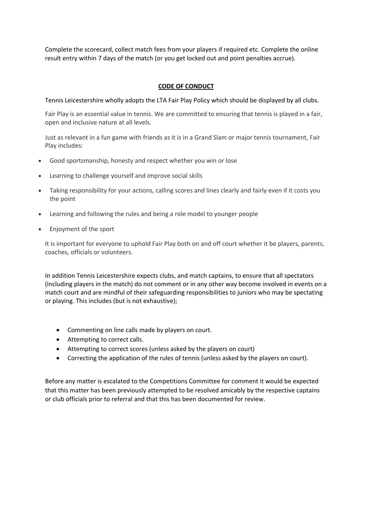Complete the scorecard, collect match fees from your players if required etc. Complete the online result entry within 7 days of the match (or you get locked out and point penalties accrue).

# **CODE OF CONDUCT**

Tennis Leicestershire wholly adopts the LTA Fair Play Policy which should be displayed by all clubs.

Fair Play is an essential value in tennis. We are committed to ensuring that tennis is played in a fair, open and inclusive nature at all levels.

Just as relevant in a fun game with friends as it is in a Grand Slam or major tennis tournament, Fair Play includes:

- Good sportsmanship, honesty and respect whether you win or lose
- Learning to challenge yourself and improve social skills
- Taking responsibility for your actions, calling scores and lines clearly and fairly even if it costs you the point
- Learning and following the rules and being a role model to younger people
- Enjoyment of the sport

It is important for everyone to uphold Fair Play both on and off court whether it be players, parents, coaches, officials or volunteers.

In addition Tennis Leicestershire expects clubs, and match captains, to ensure that all spectators (including players in the match) do not comment or in any other way become involved in events on a match court and are mindful of their safeguarding responsibilities to juniors who may be spectating or playing. This includes (but is not exhaustive);

- Commenting on line calls made by players on court.
- Attempting to correct calls.
- Attempting to correct scores (unless asked by the players on court)
- Correcting the application of the rules of tennis (unless asked by the players on court).

Before any matter is escalated to the Competitions Committee for comment it would be expected that this matter has been previously attempted to be resolved amicably by the respective captains or club officials prior to referral and that this has been documented for review.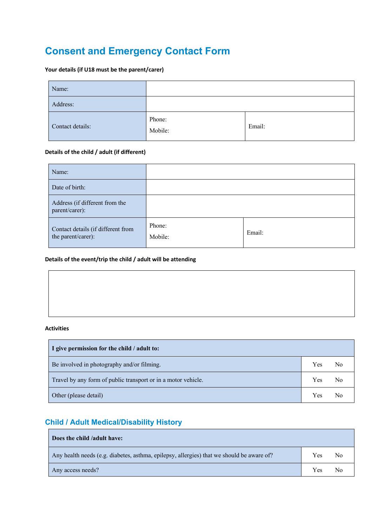# **Consent and Emergency Contact Form**

### **Your details (if U18 must be the parent/carer)**

| Name:            |                   |        |
|------------------|-------------------|--------|
| Address:         |                   |        |
| Contact details: | Phone:<br>Mobile: | Email: |

#### **Details of the child / adult (if different)**

| Name:                                                    |                   |        |
|----------------------------------------------------------|-------------------|--------|
| Date of birth:                                           |                   |        |
| Address (if different from the<br>parent/carer):         |                   |        |
| Contact details (if different from<br>the parent/carer): | Phone:<br>Mobile: | Email: |

### **Details of the event/trip the child / adult will be attending**

# **Activities**

| I give permission for the child / adult to:                   |     |    |
|---------------------------------------------------------------|-----|----|
| Be involved in photography and/or filming.                    | Yes | No |
| Travel by any form of public transport or in a motor vehicle. |     | No |
| Other (please detail)                                         | Yes | N٥ |

# **Child / Adult Medical/Disability History**

| Does the child /adult have:                                                               |     |    |
|-------------------------------------------------------------------------------------------|-----|----|
| Any health needs (e.g. diabetes, asthma, epilepsy, allergies) that we should be aware of? | Yes | No |
| Any access needs?                                                                         | Yes | No |